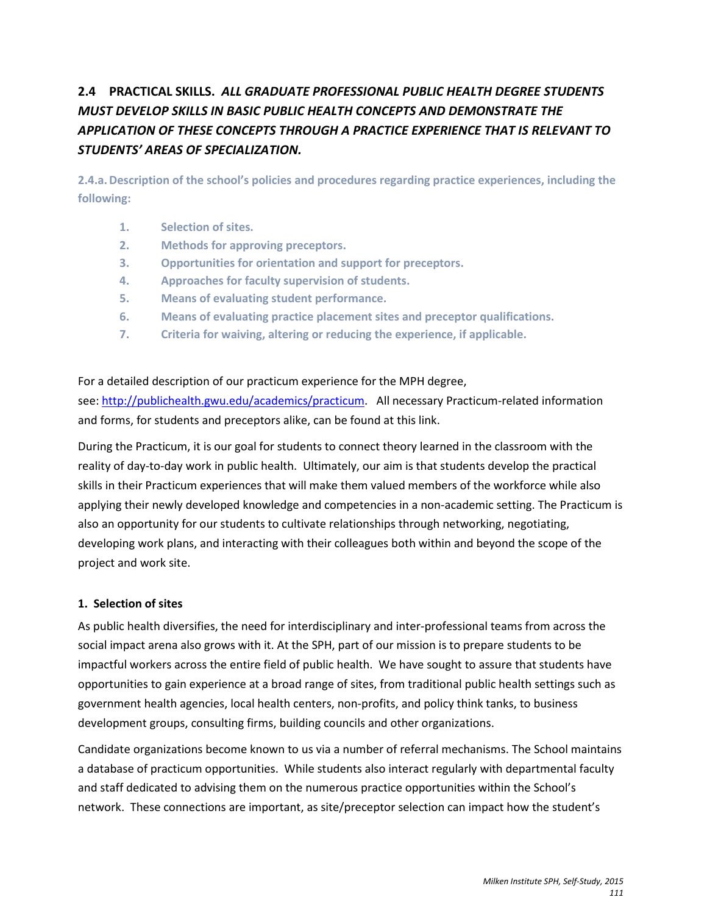# **2.4 PRACTICAL SKILLS.** *ALL GRADUATE PROFESSIONAL PUBLIC HEALTH DEGREE STUDENTS MUST DEVELOP SKILLS IN BASIC PUBLIC HEALTH CONCEPTS AND DEMONSTRATE THE APPLICATION OF THESE CONCEPTS THROUGH A PRACTICE EXPERIENCE THAT IS RELEVANT TO STUDENTS' AREAS OF SPECIALIZATION.*

**2.4.a.Description of the school's policies and procedures regarding practice experiences, including the following:**

- **1. Selection of sites.**
- **2. Methods for approving preceptors.**
- **3. Opportunities for orientation and support for preceptors.**
- **4. Approaches for faculty supervision of students.**
- **5. Means of evaluating student performance.**
- **6. Means of evaluating practice placement sites and preceptor qualifications.**
- **7. Criteria for waiving, altering or reducing the experience, if applicable.**

For a detailed description of our practicum experience for the MPH degree, see: [http://publichealth.gwu.edu/academics/practicum.](http://publichealth.gwu.edu/academics/practicum) All necessary Practicum-related information

and forms, for students and preceptors alike, can be found at this link. During the Practicum, it is our goal for students to connect theory learned in the classroom with the reality of day-to-day work in public health. Ultimately, our aim is that students develop the practical skills in their Practicum experiences that will make them valued members of the workforce while also

applying their newly developed knowledge and competencies in a non-academic setting. The Practicum is also an opportunity for our students to cultivate relationships through networking, negotiating, developing work plans, and interacting with their colleagues both within and beyond the scope of the project and work site.

# **1. Selection of sites**

As public health diversifies, the need for interdisciplinary and inter-professional teams from across the social impact arena also grows with it. At the SPH, part of our mission is to prepare students to be impactful workers across the entire field of public health. We have sought to assure that students have opportunities to gain experience at a broad range of sites, from traditional public health settings such as government health agencies, local health centers, non-profits, and policy think tanks, to business development groups, consulting firms, building councils and other organizations.

Candidate organizations become known to us via a number of referral mechanisms. The School maintains a database of practicum opportunities. While students also interact regularly with departmental faculty and staff dedicated to advising them on the numerous practice opportunities within the School's network. These connections are important, as site/preceptor selection can impact how the student's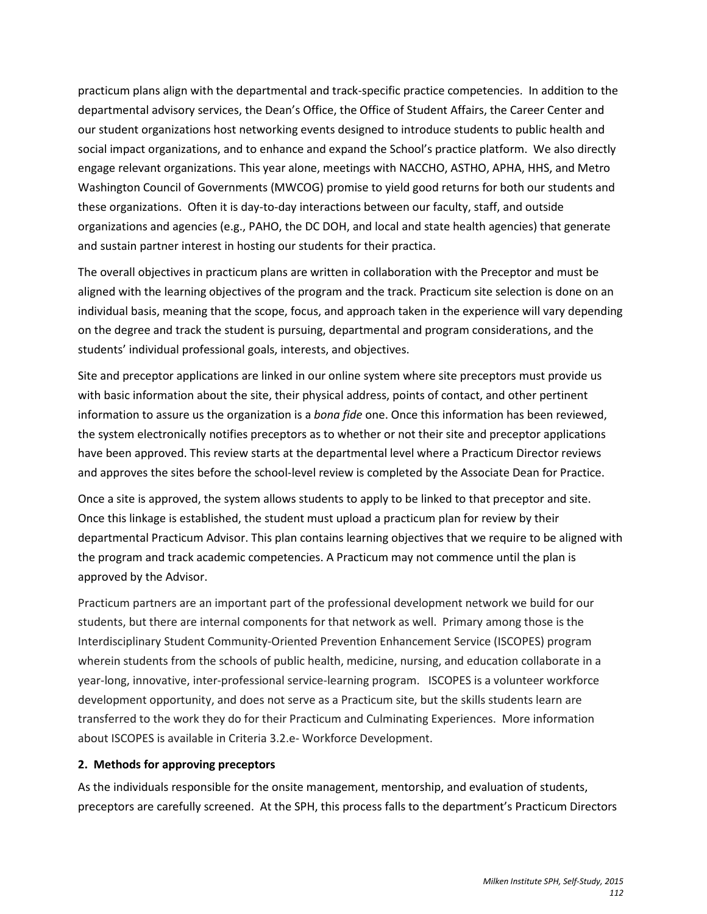practicum plans align with the departmental and track-specific practice competencies. In addition to the departmental advisory services, the Dean's Office, the Office of Student Affairs, the Career Center and our student organizations host networking events designed to introduce students to public health and social impact organizations, and to enhance and expand the School's practice platform. We also directly engage relevant organizations. This year alone, meetings with NACCHO, ASTHO, APHA, HHS, and Metro Washington Council of Governments (MWCOG) promise to yield good returns for both our students and these organizations. Often it is day-to-day interactions between our faculty, staff, and outside organizations and agencies (e.g., PAHO, the DC DOH, and local and state health agencies) that generate and sustain partner interest in hosting our students for their practica.

The overall objectives in practicum plans are written in collaboration with the Preceptor and must be aligned with the learning objectives of the program and the track. Practicum site selection is done on an individual basis, meaning that the scope, focus, and approach taken in the experience will vary depending on the degree and track the student is pursuing, departmental and program considerations, and the students' individual professional goals, interests, and objectives.

Site and preceptor applications are linked in our online system where site preceptors must provide us with basic information about the site, their physical address, points of contact, and other pertinent information to assure us the organization is a *bona fide* one. Once this information has been reviewed, the system electronically notifies preceptors as to whether or not their site and preceptor applications have been approved. This review starts at the departmental level where a Practicum Director reviews and approves the sites before the school-level review is completed by the Associate Dean for Practice.

Once a site is approved, the system allows students to apply to be linked to that preceptor and site. Once this linkage is established, the student must upload a practicum plan for review by their departmental Practicum Advisor. This plan contains learning objectives that we require to be aligned with the program and track academic competencies. A Practicum may not commence until the plan is approved by the Advisor.

Practicum partners are an important part of the professional development network we build for our students, but there are internal components for that network as well. Primary among those is the Interdisciplinary Student Community-Oriented Prevention Enhancement Service (ISCOPES) program wherein students from the schools of public health, medicine, nursing, and education collaborate in a year-long, innovative, inter-professional service-learning program. ISCOPES is a volunteer workforce development opportunity, and does not serve as a Practicum site, but the skills students learn are transferred to the work they do for their Practicum and Culminating Experiences. More information about ISCOPES is available in Criteria 3.2.e- Workforce Development.

# **2. Methods for approving preceptors**

As the individuals responsible for the onsite management, mentorship, and evaluation of students, preceptors are carefully screened. At the SPH, this process falls to the department's Practicum Directors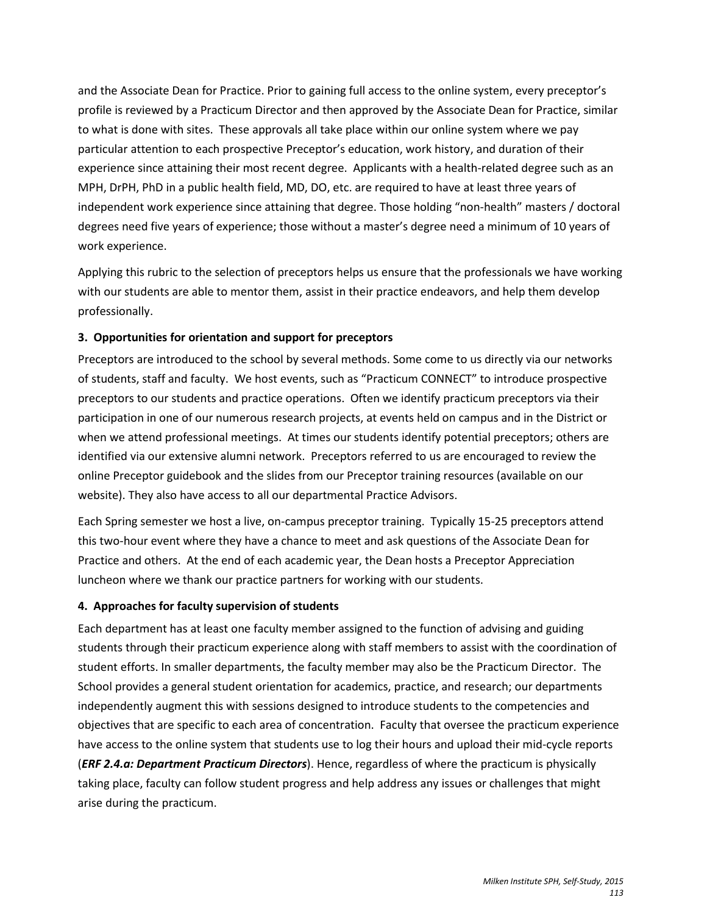and the Associate Dean for Practice. Prior to gaining full access to the online system, every preceptor's profile is reviewed by a Practicum Director and then approved by the Associate Dean for Practice, similar to what is done with sites. These approvals all take place within our online system where we pay particular attention to each prospective Preceptor's education, work history, and duration of their experience since attaining their most recent degree. Applicants with a health-related degree such as an MPH, DrPH, PhD in a public health field, MD, DO, etc. are required to have at least three years of independent work experience since attaining that degree. Those holding "non-health" masters / doctoral degrees need five years of experience; those without a master's degree need a minimum of 10 years of work experience.

Applying this rubric to the selection of preceptors helps us ensure that the professionals we have working with our students are able to mentor them, assist in their practice endeavors, and help them develop professionally.

# **3. Opportunities for orientation and support for preceptors**

Preceptors are introduced to the school by several methods. Some come to us directly via our networks of students, staff and faculty. We host events, such as "Practicum CONNECT" to introduce prospective preceptors to our students and practice operations. Often we identify practicum preceptors via their participation in one of our numerous research projects, at events held on campus and in the District or when we attend professional meetings. At times our students identify potential preceptors; others are identified via our extensive alumni network. Preceptors referred to us are encouraged to review the online Preceptor guidebook and the slides from our Preceptor training resources (available on our website). They also have access to all our departmental Practice Advisors.

Each Spring semester we host a live, on-campus preceptor training. Typically 15-25 preceptors attend this two-hour event where they have a chance to meet and ask questions of the Associate Dean for Practice and others. At the end of each academic year, the Dean hosts a Preceptor Appreciation luncheon where we thank our practice partners for working with our students.

# **4. Approaches for faculty supervision of students**

Each department has at least one faculty member assigned to the function of advising and guiding students through their practicum experience along with staff members to assist with the coordination of student efforts. In smaller departments, the faculty member may also be the Practicum Director. The School provides a general student orientation for academics, practice, and research; our departments independently augment this with sessions designed to introduce students to the competencies and objectives that are specific to each area of concentration. Faculty that oversee the practicum experience have access to the online system that students use to log their hours and upload their mid-cycle reports (*ERF 2.4.a: Department Practicum Directors*). Hence, regardless of where the practicum is physically taking place, faculty can follow student progress and help address any issues or challenges that might arise during the practicum.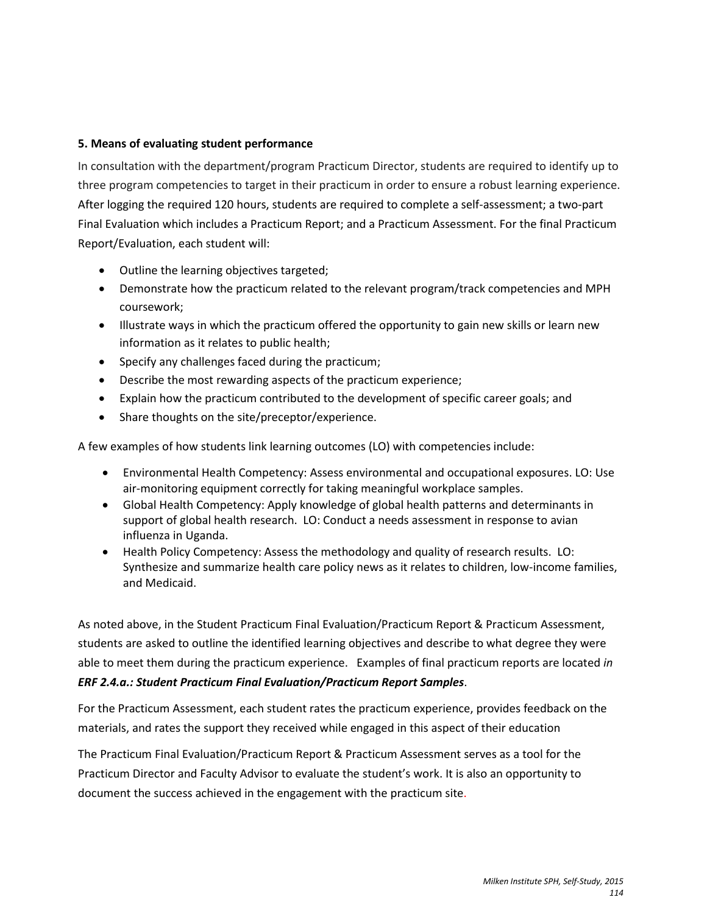# **5. Means of evaluating student performance**

In consultation with the department/program Practicum Director, students are required to identify up to three program competencies to target in their practicum in order to ensure a robust learning experience. After logging the required 120 hours, students are required to complete a self-assessment; a two-part Final Evaluation which includes a Practicum Report; and a Practicum Assessment. For the final Practicum Report/Evaluation, each student will:

- Outline the learning objectives targeted;
- Demonstrate how the practicum related to the relevant program/track competencies and MPH coursework;
- Illustrate ways in which the practicum offered the opportunity to gain new skills or learn new information as it relates to public health;
- Specify any challenges faced during the practicum;
- Describe the most rewarding aspects of the practicum experience;
- Explain how the practicum contributed to the development of specific career goals; and
- Share thoughts on the site/preceptor/experience.

A few examples of how students link learning outcomes (LO) with competencies include:

- Environmental Health Competency: Assess environmental and occupational exposures. LO: Use air-monitoring equipment correctly for taking meaningful workplace samples.
- Global Health Competency: Apply knowledge of global health patterns and determinants in support of global health research. LO: Conduct a needs assessment in response to avian influenza in Uganda.
- Health Policy Competency: Assess the methodology and quality of research results. LO: Synthesize and summarize health care policy news as it relates to children, low-income families, and Medicaid.

As noted above, in the Student Practicum Final Evaluation/Practicum Report & Practicum Assessment, students are asked to outline the identified learning objectives and describe to what degree they were able to meet them during the practicum experience. Examples of final practicum reports are located *in ERF 2.4.a.: Student Practicum Final Evaluation/Practicum Report Samples*.

For the Practicum Assessment, each student rates the practicum experience, provides feedback on the materials, and rates the support they received while engaged in this aspect of their education

The Practicum Final Evaluation/Practicum Report & Practicum Assessment serves as a tool for the Practicum Director and Faculty Advisor to evaluate the student's work. It is also an opportunity to document the success achieved in the engagement with the practicum site.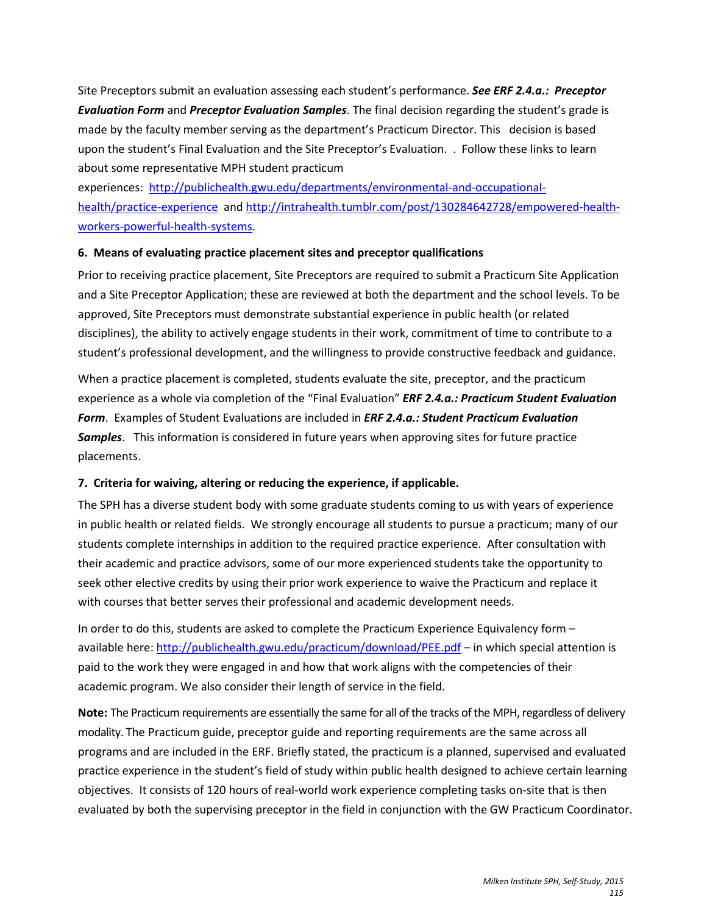Site Preceptors submit an evaluation assessing each student's performance. *See ERF 2.4.a.: Preceptor Evaluation Form* and *Preceptor Evaluation Samples*. The final decision regarding the student's grade is made by the faculty member serving as the department's Practicum Director. This decision is based upon the student's Final Evaluation and the Site Preceptor's Evaluation. . Follow these links to learn about some representative MPH student practicum

experiences: [http://publichealth.gwu.edu/departments/environmental-and-occupational](http://publichealth.gwu.edu/departments/environmental-and-occupational-health/practice-experience)[health/practice-experience](http://publichealth.gwu.edu/departments/environmental-and-occupational-health/practice-experience) and [http://intrahealth.tumblr.com/post/130284642728/empowered-health](http://intrahealth.tumblr.com/post/130284642728/empowered-health-workers-powerful-health-systems)[workers-powerful-health-systems.](http://intrahealth.tumblr.com/post/130284642728/empowered-health-workers-powerful-health-systems)

# **6. Means of evaluating practice placement sites and preceptor qualifications**

Prior to receiving practice placement, Site Preceptors are required to submit a Practicum Site Application and a Site Preceptor Application; these are reviewed at both the department and the school levels. To be approved, Site Preceptors must demonstrate substantial experience in public health (or related disciplines), the ability to actively engage students in their work, commitment of time to contribute to a student's professional development, and the willingness to provide constructive feedback and guidance.

When a practice placement is completed, students evaluate the site, preceptor, and the practicum experience as a whole via completion of the "Final Evaluation" *ERF 2.4.a.: Practicum Student Evaluation Form*. Examples of Student Evaluations are included in *ERF 2.4.a.: Student Practicum Evaluation Samples*. This information is considered in future years when approving sites for future practice placements.

# **7. Criteria for waiving, altering or reducing the experience, if applicable.**

The SPH has a diverse student body with some graduate students coming to us with years of experience in public health or related fields. We strongly encourage all students to pursue a practicum; many of our students complete internships in addition to the required practice experience. After consultation with their academic and practice advisors, some of our more experienced students take the opportunity to seek other elective credits by using their prior work experience to waive the Practicum and replace it with courses that better serves their professional and academic development needs.

In order to do this, students are asked to complete the Practicum Experience Equivalency form – available here[: http://publichealth.gwu.edu/practicum/download/PEE.pdf](http://publichealth.gwu.edu/practicum/download/PEE.pdf) - in which special attention is paid to the work they were engaged in and how that work aligns with the competencies of their academic program. We also consider their length of service in the field.

**Note:** The Practicum requirements are essentially the same for all of the tracks of the MPH, regardless of delivery modality. The Practicum guide, preceptor guide and reporting requirements are the same across all programs and are included in the ERF. Briefly stated, the practicum is a planned, supervised and evaluated practice experience in the student's field of study within public health designed to achieve certain learning objectives. It consists of 120 hours of real-world work experience completing tasks on-site that is then evaluated by both the supervising preceptor in the field in conjunction with the GW Practicum Coordinator.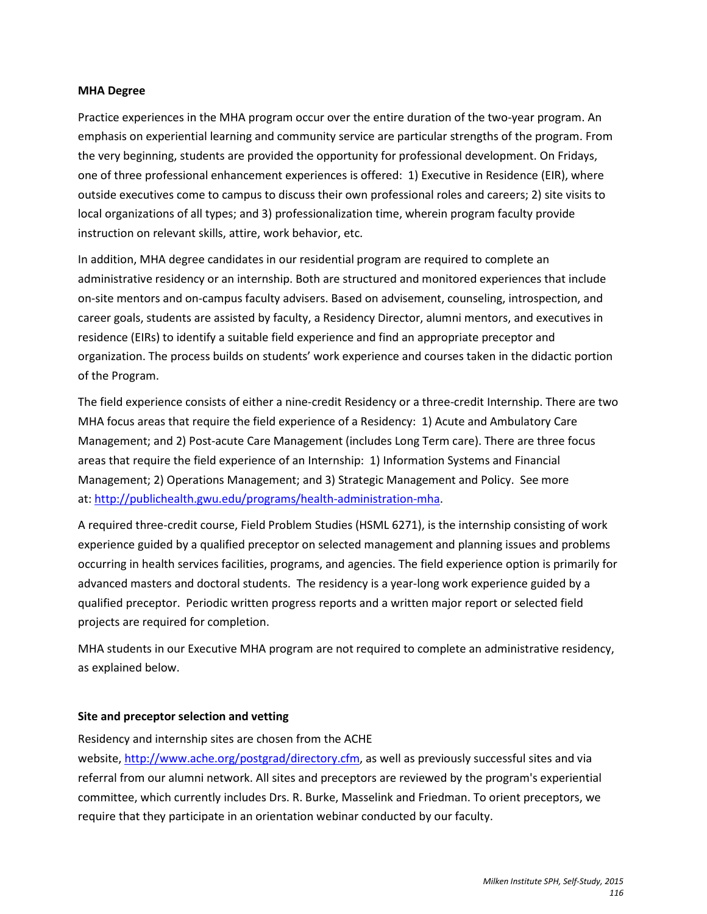#### **MHA Degree**

Practice experiences in the MHA program occur over the entire duration of the two-year program. An emphasis on experiential learning and community service are particular strengths of the program. From the very beginning, students are provided the opportunity for professional development. On Fridays, one of three professional enhancement experiences is offered: 1) Executive in Residence (EIR), where outside executives come to campus to discuss their own professional roles and careers; 2) site visits to local organizations of all types; and 3) professionalization time, wherein program faculty provide instruction on relevant skills, attire, work behavior, etc.

In addition, MHA degree candidates in our residential program are required to complete an administrative residency or an internship. Both are structured and monitored experiences that include on-site mentors and on-campus faculty advisers. Based on advisement, counseling, introspection, and career goals, students are assisted by faculty, a Residency Director, alumni mentors, and executives in residence (EIRs) to identify a suitable field experience and find an appropriate preceptor and organization. The process builds on students' work experience and courses taken in the didactic portion of the Program.

The field experience consists of either a nine-credit Residency or a three-credit Internship. There are two MHA focus areas that require the field experience of a Residency: 1) Acute and Ambulatory Care Management; and 2) Post-acute Care Management (includes Long Term care). There are three focus areas that require the field experience of an Internship: 1) Information Systems and Financial Management; 2) Operations Management; and 3) Strategic Management and Policy. See more at: [http://publichealth.gwu.edu/programs/health-administration-mha.](http://publichealth.gwu.edu/programs/health-administration-mha)

A required three-credit course, Field Problem Studies (HSML 6271), is the internship consisting of work experience guided by a qualified preceptor on selected management and planning issues and problems occurring in health services facilities, programs, and agencies. The field experience option is primarily for advanced masters and doctoral students. The residency is a year-long work experience guided by a qualified preceptor. Periodic written progress reports and a written major report or selected field projects are required for completion.

MHA students in our Executive MHA program are not required to complete an administrative residency, as explained below.

# **Site and preceptor selection and vetting**

Residency and internship sites are chosen from the ACHE

website, [http://www.ache.org/postgrad/directory.cfm,](http://www.ache.org/postgrad/directory.cfm) as well as previously successful sites and via referral from our alumni network. All sites and preceptors are reviewed by the program's experiential committee, which currently includes Drs. R. Burke, Masselink and Friedman. To orient preceptors, we require that they participate in an orientation webinar conducted by our faculty.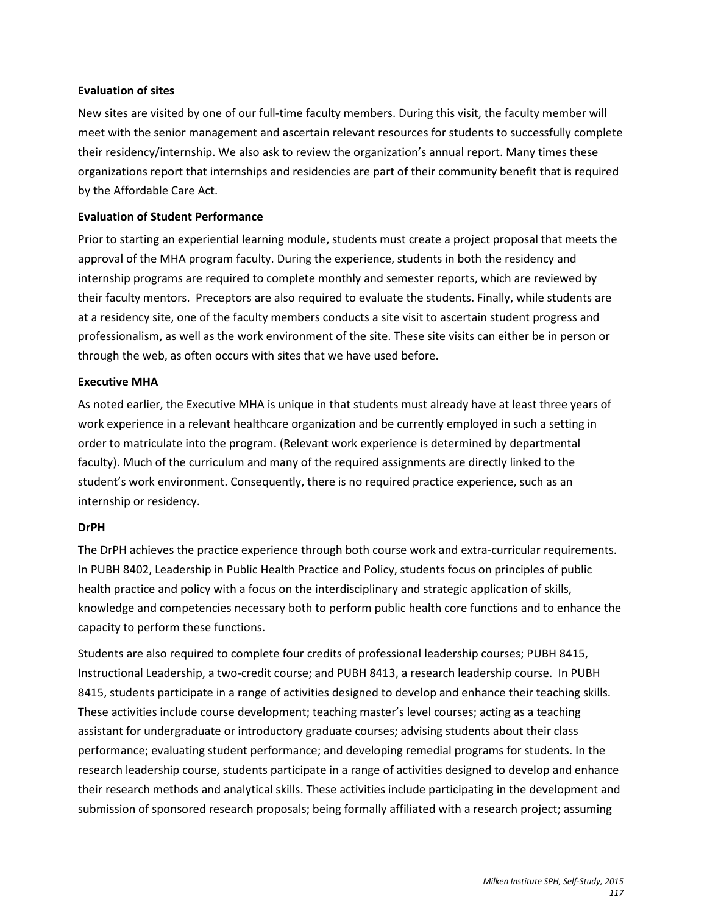#### **Evaluation of sites**

New sites are visited by one of our full-time faculty members. During this visit, the faculty member will meet with the senior management and ascertain relevant resources for students to successfully complete their residency/internship. We also ask to review the organization's annual report. Many times these organizations report that internships and residencies are part of their community benefit that is required by the Affordable Care Act.

# **Evaluation of Student Performance**

Prior to starting an experiential learning module, students must create a project proposal that meets the approval of the MHA program faculty. During the experience, students in both the residency and internship programs are required to complete monthly and semester reports, which are reviewed by their faculty mentors. Preceptors are also required to evaluate the students. Finally, while students are at a residency site, one of the faculty members conducts a site visit to ascertain student progress and professionalism, as well as the work environment of the site. These site visits can either be in person or through the web, as often occurs with sites that we have used before.

#### **Executive MHA**

As noted earlier, the Executive MHA is unique in that students must already have at least three years of work experience in a relevant healthcare organization and be currently employed in such a setting in order to matriculate into the program. (Relevant work experience is determined by departmental faculty). Much of the curriculum and many of the required assignments are directly linked to the student's work environment. Consequently, there is no required practice experience, such as an internship or residency.

#### **DrPH**

The DrPH achieves the practice experience through both course work and extra-curricular requirements. In PUBH 8402, Leadership in Public Health Practice and Policy, students focus on principles of public health practice and policy with a focus on the interdisciplinary and strategic application of skills, knowledge and competencies necessary both to perform public health core functions and to enhance the capacity to perform these functions.

Students are also required to complete four credits of professional leadership courses; PUBH 8415, Instructional Leadership, a two-credit course; and PUBH 8413, a research leadership course. In PUBH 8415, students participate in a range of activities designed to develop and enhance their teaching skills. These activities include course development; teaching master's level courses; acting as a teaching assistant for undergraduate or introductory graduate courses; advising students about their class performance; evaluating student performance; and developing remedial programs for students. In the research leadership course, students participate in a range of activities designed to develop and enhance their research methods and analytical skills. These activities include participating in the development and submission of sponsored research proposals; being formally affiliated with a research project; assuming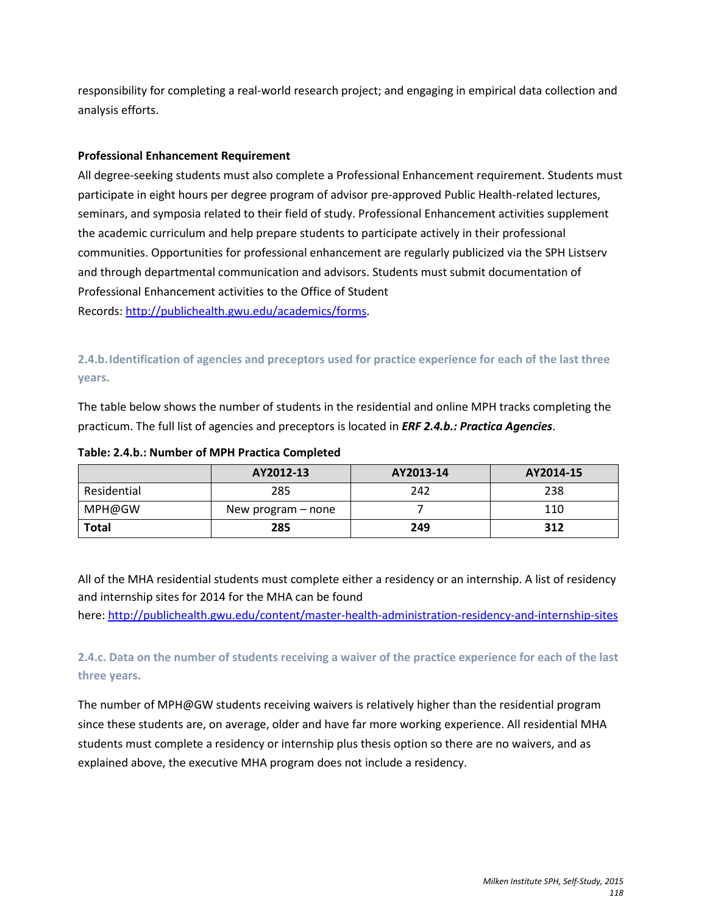responsibility for completing a real-world research project; and engaging in empirical data collection and analysis efforts.

# **Professional Enhancement Requirement**

All degree-seeking students must also complete a Professional Enhancement requirement. Students must participate in eight hours per degree program of advisor pre-approved Public Health-related lectures, seminars, and symposia related to their field of study. Professional Enhancement activities supplement the academic curriculum and help prepare students to participate actively in their professional communities. Opportunities for professional enhancement are regularly publicized via the SPH Listserv and through departmental communication and advisors. Students must submit documentation of Professional Enhancement activities to the Office of Student Records[: http://publichealth.gwu.edu/academics/forms.](http://publichealth.gwu.edu/academics/forms)

**2.4.b.Identification of agencies and preceptors used for practice experience for each of the last three years.** 

The table below shows the number of students in the residential and online MPH tracks completing the practicum. The full list of agencies and preceptors is located in *ERF 2.4.b.: Practica Agencies*.

# **Table: 2.4.b.: Number of MPH Practica Completed**

|              | AY2012-13          | AY2013-14 | AY2014-15 |
|--------------|--------------------|-----------|-----------|
| Residential  | 285                | 242       | 238       |
| MPH@GW       | New program – none |           | 110       |
| <b>Total</b> | 285                | 249       | 312       |

All of the MHA residential students must complete either a residency or an internship. A list of residency and internship sites for 2014 for the MHA can be found

here[: http://publichealth.gwu.edu/content/master-health-administration-residency-and-internship-sites](http://publichealth.gwu.edu/content/master-health-administration-residency-and-internship-sites)

**2.4.c. Data on the number of students receiving a waiver of the practice experience for each of the last three years.** 

The number of MPH@GW students receiving waivers is relatively higher than the residential program since these students are, on average, older and have far more working experience. All residential MHA students must complete a residency or internship plus thesis option so there are no waivers, and as explained above, the executive MHA program does not include a residency.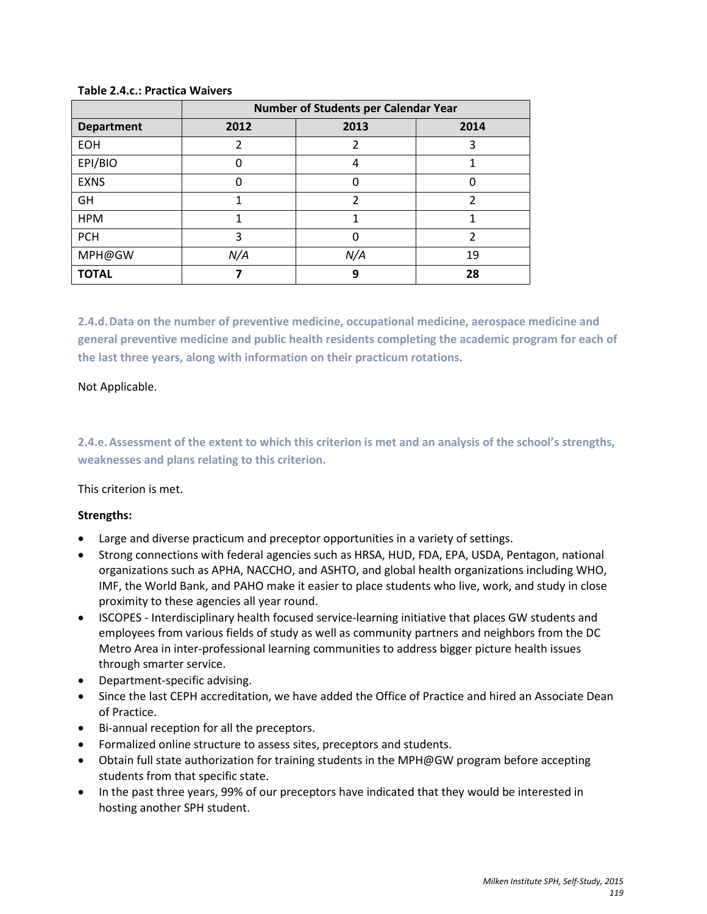|                   | Number of Students per Calendar Year |      |      |
|-------------------|--------------------------------------|------|------|
| <b>Department</b> | 2012                                 | 2013 | 2014 |
| <b>EOH</b>        | 2                                    | 2    | 3    |
| EPI/BIO           | 0                                    | 4    |      |
| <b>EXNS</b>       | 0                                    | 0    | 0    |
| GH                |                                      | 2    | 2    |
| <b>HPM</b>        |                                      | 1    |      |
| <b>PCH</b>        | 3                                    | 0    | 2    |
| MPH@GW            | N/A                                  | N/A  | 19   |
| <b>TOTAL</b>      |                                      | 9    | 28   |

### **Table 2.4.c.: Practica Waivers**

**2.4.d.Data on the number of preventive medicine, occupational medicine, aerospace medicine and general preventive medicine and public health residents completing the academic program for each of the last three years, along with information on their practicum rotations.**

### Not Applicable.

**2.4.e.Assessment of the extent to which this criterion is met and an analysis of the school's strengths, weaknesses and plans relating to this criterion.**

# This criterion is met.

# **Strengths:**

- Large and diverse practicum and preceptor opportunities in a variety of settings.
- Strong connections with federal agencies such as HRSA, HUD, FDA, EPA, USDA, Pentagon, national organizations such as APHA, NACCHO, and ASHTO, and global health organizations including WHO, IMF, the World Bank, and PAHO make it easier to place students who live, work, and study in close proximity to these agencies all year round.
- ISCOPES Interdisciplinary health focused service-learning initiative that places GW students and employees from various fields of study as well as community partners and neighbors from the DC Metro Area in inter-professional learning communities to address bigger picture health issues through smarter service.
- Department-specific advising.
- Since the last CEPH accreditation, we have added the Office of Practice and hired an Associate Dean of Practice.
- Bi-annual reception for all the preceptors.
- Formalized online structure to assess sites, preceptors and students.
- Obtain full state authorization for training students in the MPH@GW program before accepting students from that specific state.
- In the past three years, 99% of our preceptors have indicated that they would be interested in hosting another SPH student.